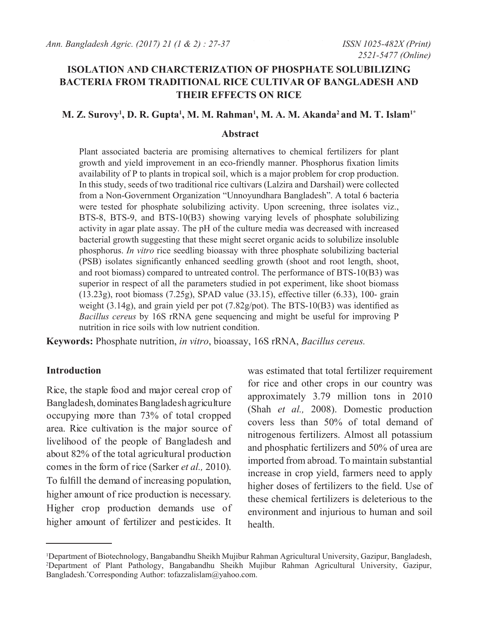### **ISOLATION AND CHARCTERIZATION OF PHOSPHATE SOLUBILIZING BACTERIA FROM TRADITIONAL RICE CULTIVAR OF BANGLADESH AND THEIR EFFECTS ON RICE**

### M. Z. Surovy<sup>1</sup>, D. R. Gupta<sup>1</sup>, M. M. Rahman<sup>1</sup>, M. A. M. Akanda<sup>2</sup> and M. T. Islam<sup>1\*</sup>

#### **Abstract**

Plant associated bacteria are promising alternatives to chemical fertilizers for plant growth and yield improvement in an eco-friendly manner. Phosphorus fixation limits availability of P to plants in tropical soil, which is a major problem for crop production. In this study, seeds of two traditional rice cultivars (Lalzira and Darshail) were collected from a Non-Government Organization "Unnoyundhara Bangladesh". A total 6 bacteria were tested for phosphate solubilizing activity. Upon screening, three isolates viz., BTS-8, BTS-9, and BTS-10(B3) showing varying levels of phosphate solubilizing activity in agar plate assay. The pH of the culture media was decreased with increased bacterial growth suggesting that these might secret organic acids to solubilize insoluble phosphorus. *In vitro* rice seedling bioassay with three phosphate solubilizing bacterial (PSB) isolates significantly enhanced seedling growth (shoot and root length, shoot, and root biomass) compared to untreated control. The performance of BTS-10(B3) was superior in respect of all the parameters studied in pot experiment, like shoot biomass (13.23g), root biomass (7.25g), SPAD value (33.15), effective tiller (6.33), 100- grain weight (3.14g), and grain yield per pot (7.82g/pot). The BTS-10(B3) was identified as *Bacillus cereus* by 16S rRNA gene sequencing and might be useful for improving P nutrition in rice soils with low nutrient condition.

**Keywords:** Phosphate nutrition, *in vitro*, bioassay, 16S rRNA, *Bacillus cereus.*

#### **Introduction**

Rice, the staple food and major cereal crop of Bangladesh, dominates Bangladesh agriculture occupying more than 73% of total cropped area. Rice cultivation is the major source of livelihood of the people of Bangladesh and about 82% of the total agricultural production comes in the form of rice (Sarker *et al.,* 2010). To fulfill the demand of increasing population, higher amount of rice production is necessary. Higher crop production demands use of higher amount of fertilizer and pesticides. It

was estimated that total fertilizer requirement for rice and other crops in our country was approximately 3.79 million tons in 2010 (Shah *et al.,* 2008). Domestic production covers less than 50% of total demand of nitrogenous fertilizers. Almost all potassium and phosphatic fertilizers and 50% of urea are imported from abroad. To maintain substantial increase in crop yield, farmers need to apply higher doses of fertilizers to the field. Use of these chemical fertilizers is deleterious to the environment and injurious to human and soil health.

<sup>1</sup> Department of Biotechnology, Bangabandhu Sheikh Mujibur Rahman Agricultural University, Gazipur, Bangladesh, 2 Department of Plant Pathology, Bangabandhu Sheikh Mujibur Rahman Agricultural University, Gazipur, Bangladesh.\* Corresponding Author: tofazzalislam@yahoo.com.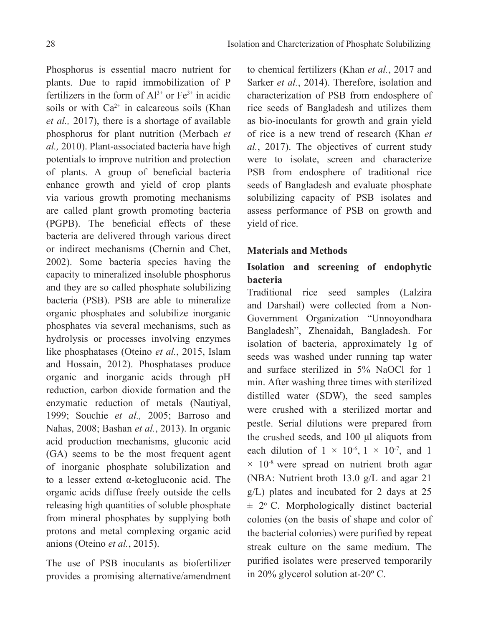Phosphorus is essential macro nutrient for plants. Due to rapid immobilization of P fertilizers in the form of  $Al^{3+}$  or  $Fe^{3+}$  in acidic soils or with  $Ca^{2+}$  in calcareous soils (Khan *et al.,* 2017), there is a shortage of available phosphorus for plant nutrition (Merbach *et al.,* 2010). Plant-associated bacteria have high potentials to improve nutrition and protection of plants. A group of beneficial bacteria enhance growth and yield of crop plants via various growth promoting mechanisms are called plant growth promoting bacteria (PGPB). The beneficial effects of these bacteria are delivered through various direct or indirect mechanisms (Chernin and Chet, 2002). Some bacteria species having the capacity to mineralized insoluble phosphorus and they are so called phosphate solubilizing bacteria (PSB). PSB are able to mineralize organic phosphates and solubilize inorganic phosphates via several mechanisms, such as hydrolysis or processes involving enzymes like phosphatases (Oteino *et al.*, 2015, Islam and Hossain, 2012). Phosphatases produce organic and inorganic acids through pH reduction, carbon dioxide formation and the enzymatic reduction of metals (Nautiyal, 1999; Souchie *et al.,* 2005; Barroso and Nahas, 2008; Bashan *et al.*, 2013). In organic acid production mechanisms, gluconic acid (GA) seems to be the most frequent agent of inorganic phosphate solubilization and to a lesser extend α-ketogluconic acid. The organic acids diffuse freely outside the cells releasing high quantities of soluble phosphate from mineral phosphates by supplying both protons and metal complexing organic acid anions (Oteino *et al.*, 2015).

The use of PSB inoculants as biofertilizer provides a promising alternative/amendment

to chemical fertilizers (Khan *et al.*, 2017 and Sarker *et al.*, 2014). Therefore, isolation and characterization of PSB from endosphere of rice seeds of Bangladesh and utilizes them as bio-inoculants for growth and grain yield of rice is a new trend of research (Khan *et al.*, 2017). The objectives of current study were to isolate, screen and characterize PSB from endosphere of traditional rice seeds of Bangladesh and evaluate phosphate solubilizing capacity of PSB isolates and assess performance of PSB on growth and yield of rice.

### **Materials and Methods**

# **Isolation and screening of endophytic bacteria**

Traditional rice seed samples (Lalzira and Darshail) were collected from a Non-Government Organization "Unnoyondhara Bangladesh", Zhenaidah, Bangladesh. For isolation of bacteria, approximately 1g of seeds was washed under running tap water and surface sterilized in 5% NaOCl for 1 min. After washing three times with sterilized distilled water (SDW), the seed samples were crushed with a sterilized mortar and pestle. Serial dilutions were prepared from the crushed seeds, and 100 μl aliquots from each dilution of  $1 \times 10^{-6}$ ,  $1 \times 10^{-7}$ , and 1  $\times$  10<sup>-8</sup> were spread on nutrient broth agar (NBA: Nutrient broth 13.0 g/L and agar 21 g/L) plates and incubated for 2 days at 25  $\pm$  2° C. Morphologically distinct bacterial colonies (on the basis of shape and color of the bacterial colonies) were purified by repeat streak culture on the same medium. The purified isolates were preserved temporarily in 20% glycerol solution at-20º C.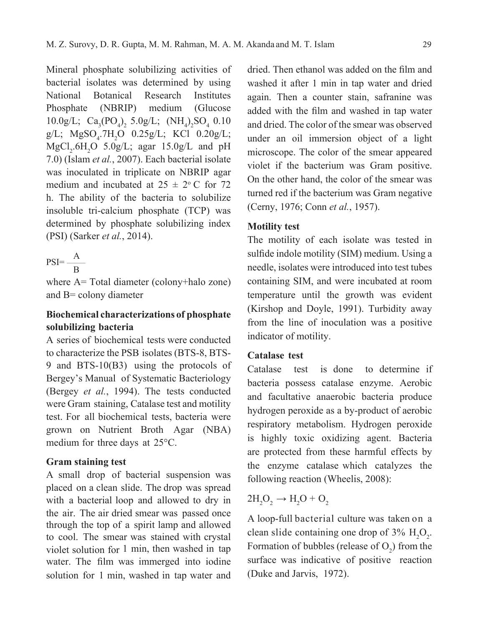Mineral phosphate solubilizing activities of bacterial isolates was determined by using National Botanical Research Institutes Phosphate (NBRIP) medium (Glucose  $10.0g/L$ ;  $Ca_3(PO_4)_2$  5.0g/L;  $(NH_4)_2SO_4$  0.10  $g/L$ ; MgSO<sub>4</sub>.7H<sub>2</sub>O 0.25g/L; KCl 0.20g/L;  $MgCl<sub>2</sub>$ .6H<sub>2</sub>O 5.0g/L; agar 15.0g/L and pH 7.0) (Islam *et al.*, 2007). Each bacterial isolate was inoculated in triplicate on NBRIP agar medium and incubated at  $25 \pm 2$ °C for 72 h. The ability of the bacteria to solubilize insoluble tri-calcium phosphate (TCP) was determined by phosphate solubilizing index (PSI) (Sarker *et al.*, 2014).

$$
PSI = \frac{A}{B}
$$

where A= Total diameter (colony+halo zone) and B= colony diameter

## **Biochemical characterizations of phosphate solubilizing bacteria**

A series of biochemical tests were conducted to characterize the PSB isolates (BTS-8, BTS-9 and BTS-10(B3) using the protocols of Bergey's Manual of Systematic Bacteriology (Bergey *et al.*, 1994). The tests conducted were Gram staining, Catalase test and motility test. For all biochemical tests, bacteria were grown on Nutrient Broth Agar (NBA) medium for three days at 25°C.

#### **Gram staining test**

A small drop of bacterial suspension was placed on a clean slide. The drop was spread with a bacterial loop and allowed to dry in the air. The air dried smear was passed once through the top of a spirit lamp and allowed to cool. The smear was stained with crystal violet solution for 1 min, then washed in tap water. The film was immerged into iodine solution for 1 min, washed in tap water and

dried. Then ethanol was added on the film and washed it after 1 min in tap water and dried again. Then a counter stain, safranine was added with the film and washed in tap water and dried. The color of the smear was observed under an oil immersion object of a light microscope. The color of the smear appeared violet if the bacterium was Gram positive. On the other hand, the color of the smear was turned red if the bacterium was Gram negative (Cerny, 1976; Conn *et al.*, 1957).

### **Motility test**

The motility of each isolate was tested in sulfide indole motility (SIM) medium. Using a needle, isolates were introduced into test tubes containing SIM, and were incubated at room temperature until the growth was evident (Kirshop and Doyle, 1991). Turbidity away from the line of inoculation was a positive indicator of motility.

### **Catalase test**

Catalase test is done to determine if bacteria possess catalase enzyme. Aerobic and facultative anaerobic bacteria produce hydrogen peroxide as a by-product of aerobic respiratory metabolism. Hydrogen peroxide is highly toxic oxidizing agent. Bacteria are protected from these harmful effects by the enzyme catalase which catalyzes the following reaction (Wheelis, 2008):

# $2H_2O_2 \rightarrow H_2O + O_2$

A loop-full bacterial culture was taken on a clean slide containing one drop of  $3\%$  H<sub>2</sub>O<sub>2</sub>. Formation of bubbles (release of  $O_2$ ) from the surface was indicative of positive reaction (Duke and Jarvis, 1972).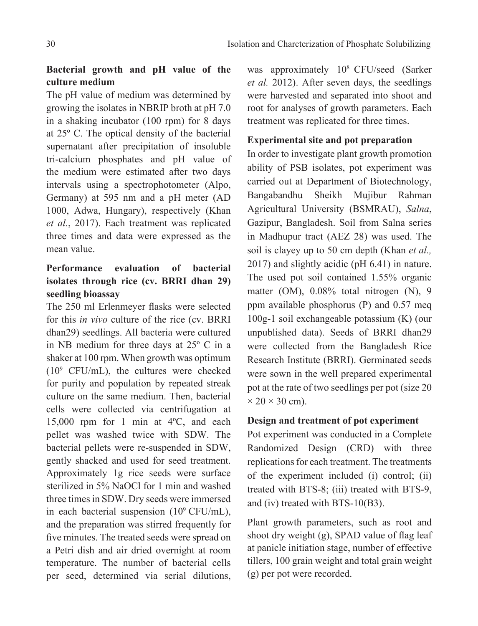## **Bacterial growth and pH value of the culture medium**

The pH value of medium was determined by growing the isolates in NBRIP broth at pH 7.0 in a shaking incubator (100 rpm) for 8 days at 25º C. The optical density of the bacterial supernatant after precipitation of insoluble tri-calcium phosphates and pH value of the medium were estimated after two days intervals using a spectrophotometer (Alpo, Germany) at 595 nm and a pH meter (AD 1000, Adwa, Hungary), respectively (Khan *et al.*, 2017). Each treatment was replicated three times and data were expressed as the mean value.

# **Performance evaluation of bacterial isolates through rice (cv. BRRI dhan 29) seedling bioassay**

The 250 ml Erlenmeyer flasks were selected for this *in vivo* culture of the rice (cv. BRRI dhan29) seedlings. All bacteria were cultured in NB medium for three days at 25º C in a shaker at 100 rpm. When growth was optimum (109 CFU/mL), the cultures were checked for purity and population by repeated streak culture on the same medium. Then, bacterial cells were collected via centrifugation at 15,000 rpm for 1 min at 4ºC, and each pellet was washed twice with SDW. The bacterial pellets were re-suspended in SDW, gently shacked and used for seed treatment. Approximately 1g rice seeds were surface sterilized in 5% NaOCl for 1 min and washed three times in SDW. Dry seeds were immersed in each bacterial suspension  $(10^9 \text{ CFU/mL})$ , and the preparation was stirred frequently for five minutes. The treated seeds were spread on a Petri dish and air dried overnight at room temperature. The number of bacterial cells per seed, determined via serial dilutions, was approximately 108 CFU/seed (Sarker *et al.* 2012). After seven days, the seedlings were harvested and separated into shoot and root for analyses of growth parameters. Each treatment was replicated for three times.

### **Experimental site and pot preparation**

In order to investigate plant growth promotion ability of PSB isolates, pot experiment was carried out at Department of Biotechnology, Bangabandhu Sheikh Mujibur Rahman Agricultural University (BSMRAU), *Salna*, Gazipur, Bangladesh. Soil from Salna series in Madhupur tract (AEZ 28) was used. The soil is clayey up to 50 cm depth (Khan *et al.,* 2017) and slightly acidic (pH 6.41) in nature. The used pot soil contained 1.55% organic matter (OM), 0.08% total nitrogen (N), 9 ppm available phosphorus (P) and 0.57 meq 100g-1 soil exchangeable potassium (K) (our unpublished data). Seeds of BRRI dhan29 were collected from the Bangladesh Rice Research Institute (BRRI). Germinated seeds were sown in the well prepared experimental pot at the rate of two seedlings per pot (size 20  $\times$  20  $\times$  30 cm).

### **Design and treatment of pot experiment**

Pot experiment was conducted in a Complete Randomized Design (CRD) with three replications for each treatment. The treatments of the experiment included (i) control; (ii) treated with BTS-8; (iii) treated with BTS-9, and (iv) treated with BTS-10(B3).

Plant growth parameters, such as root and shoot dry weight (g), SPAD value of flag leaf at panicle initiation stage, number of effective tillers, 100 grain weight and total grain weight (g) per pot were recorded.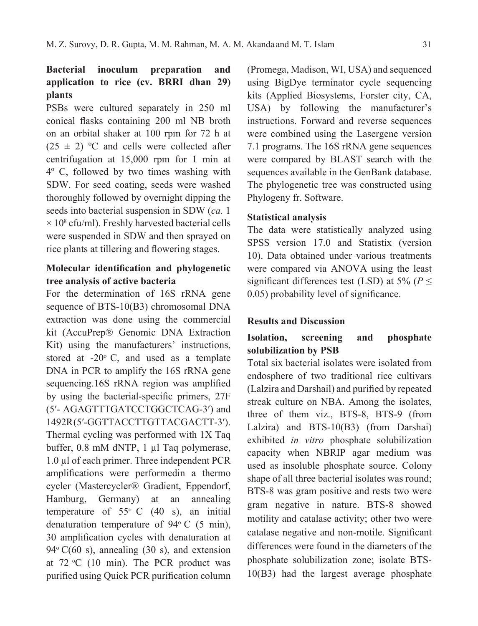## **Bacterial inoculum preparation and application to rice (cv. BRRI dhan 29) plants**

PSBs were cultured separately in 250 ml conical flasks containing 200 ml NB broth on an orbital shaker at 100 rpm for 72 h at  $(25 \pm 2)$  °C and cells were collected after centrifugation at 15,000 rpm for 1 min at 4º C, followed by two times washing with SDW. For seed coating, seeds were washed thoroughly followed by overnight dipping the seeds into bacterial suspension in SDW (*ca.* 1  $\times$  10<sup>8</sup> cfu/ml). Freshly harvested bacterial cells were suspended in SDW and then sprayed on rice plants at tillering and flowering stages.

### **Molecular identification and phylogenetic tree analysis of active bacteria**

For the determination of 16S rRNA gene sequence of BTS-10(B3) chromosomal DNA extraction was done using the commercial kit (AccuPrep® Genomic DNA Extraction Kit) using the manufacturers' instructions, stored at  $-20^{\circ}$  C, and used as a template DNA in PCR to amplify the 16S rRNA gene sequencing.16S rRNA region was amplified by using the bacterial-specific primers, 27F (5′- AGAGTTTGATCCTGGCTCAG-3′) and 1492R (5′-GGTTACCTTGTTACGACTT-3′). Thermal cycling was performed with 1X Taq buffer, 0.8 mM dNTP, 1 µl Taq polymerase, 1.0 µl of each primer. Three independent PCR amplifications were performedin a thermo cycler (Mastercycler® Gradient, Eppendorf, Hamburg, Germany) at an annealing temperature of  $55^{\circ}$  C (40 s), an initial denaturation temperature of  $94^{\circ}$  C (5 min), 30 amplification cycles with denaturation at  $94^{\circ}$  C(60 s), annealing (30 s), and extension at  $72 \text{ °C}$  (10 min). The PCR product was purified using Quick PCR purification column

(Promega, Madison, WI, USA) and sequenced using BigDye terminator cycle sequencing kits (Applied Biosystems, Forster city, CA, USA) by following the manufacturer's instructions. Forward and reverse sequences were combined using the Lasergene version 7.1 programs. The 16S rRNA gene sequences were compared by BLAST search with the sequences available in the GenBank database. The phylogenetic tree was constructed using Phylogeny fr. Software.

### **Statistical analysis**

The data were statistically analyzed using SPSS version 17.0 and Statistix (version 10). Data obtained under various treatments were compared via ANOVA using the least significant differences test (LSD) at 5% (*P* ≤ 0.05) probability level of significance.

### **Results and Discussion**

### **Isolation, screening and phosphate solubilization by PSB**

Total six bacterial isolates were isolated from endosphere of two traditional rice cultivars (Lalzira and Darshail) and purified by repeated streak culture on NBA. Among the isolates, three of them viz., BTS-8, BTS-9 (from Lalzira) and BTS-10(B3) (from Darshai) exhibited *in vitro* phosphate solubilization capacity when NBRIP agar medium was used as insoluble phosphate source. Colony shape of all three bacterial isolates was round; BTS-8 was gram positive and rests two were gram negative in nature. BTS-8 showed motility and catalase activity; other two were catalase negative and non-motile. Significant differences were found in the diameters of the phosphate solubilization zone; isolate BTS-10(B3) had the largest average phosphate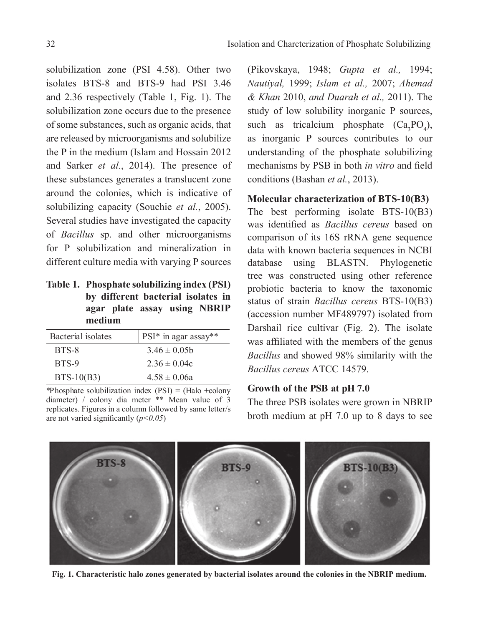solubilization zone (PSI 4.58). Other two isolates BTS-8 and BTS-9 had PSI 3.46 and 2.36 respectively (Table 1, Fig. 1). The solubilization zone occurs due to the presence of some substances, such as organic acids, that are released by microorganisms and solubilize the P in the medium (Islam and Hossain 2012 and Sarker *et al.*, 2014). The presence of these substances generates a translucent zone around the colonies, which is indicative of solubilizing capacity (Souchie *et al.*, 2005). Several studies have investigated the capacity of *Bacillus* sp. and other microorganisms for P solubilization and mineralization in different culture media with varying P sources

**Table 1. Phosphate solubilizing index (PSI) by different bacterial isolates in agar plate assay using NBRIP medium**

| Bacterial isolates | PSI* in agar assay** |
|--------------------|----------------------|
| BTS-8              | $3.46 \pm 0.05$      |
| BTS-9              | $2.36 \pm 0.04c$     |
| $BTS-10(B3)$       | $4.58 \pm 0.06a$     |

\*Phosphate solubilization index  $(PSI) = (Halo + colony)$ diameter) / colony dia meter \*\* Mean value of 3 replicates. Figures in a column followed by same letter/s are not varied significantly (*p<0.05*)

(Pikovskaya, 1948; *Gupta et al.,* 1994; *Nautiyal,* 1999; *Islam et al.,* 2007; *Ahemad & Khan* 2010, *and Duarah et al.,* 2011). The study of low solubility inorganic P sources, such as tricalcium phosphate  $(Ca_3PO_4)$ , as inorganic P sources contributes to our understanding of the phosphate solubilizing mechanisms by PSB in both *in vitro* and field conditions (Bashan *et al.*, 2013).

### **Molecular characterization of BTS-10(B3)**

The best performing isolate BTS-10(B3) was identified as *Bacillus cereus* based on comparison of its 16S rRNA gene sequence data with known bacteria sequences in NCBI database using BLASTN. Phylogenetic tree was constructed using other reference probiotic bacteria to know the taxonomic status of strain *Bacillus cereus* BTS-10(B3) (accession number MF489797) isolated from Darshail rice cultivar (Fig. 2). The isolate was affiliated with the members of the genus *Bacillus* and showed 98% similarity with the *Bacillus cereus* ATCC 14579.

### **Growth of the PSB at pH 7.0**

The three PSB isolates were grown in NBRIP broth medium at pH 7.0 up to 8 days to see



**Fig. 1. Characteristic halo zones generated by bacterial isolates around the colonies in the NBRIP medium.**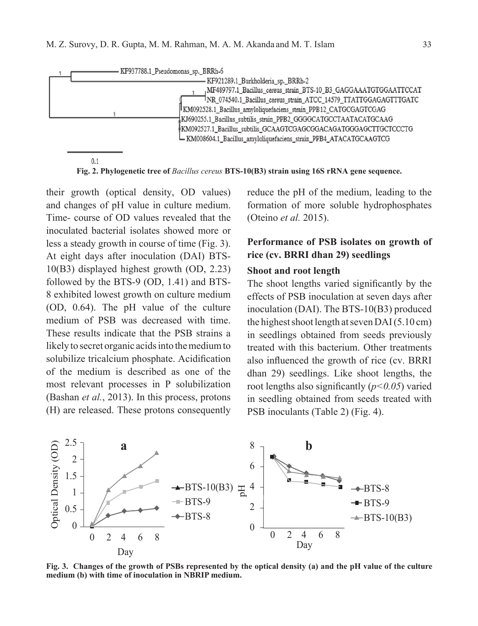| KF937788.1 Pseudomonas sp. BRRh-6                                                                                                                                                                                                                                                                                                                                                                                                                             |  |
|---------------------------------------------------------------------------------------------------------------------------------------------------------------------------------------------------------------------------------------------------------------------------------------------------------------------------------------------------------------------------------------------------------------------------------------------------------------|--|
| KF921289.1 Burkholderia sp. BRRh-2<br>MF489797.1_Bacillus_cereus_strain_BTS-10_B3_GAGGAAATGTGGAATTCCAT<br>TNR_074540.1_Bacillus_cereus_strain_ATCC_14579_TTATTGGAGAGTTTGATC<br>KM092528.1_Bacillus_amyloliquefaciens_strain_PPB12_CATGCGAGTCGAG<br>KJ690255.1_Bacillus_subtilis_strain_PPB2_GGGGCATGCCTAATACATGCAAG<br>KM092527.1_Bacillus_subtilis_GCAAGTCGAGCGGACAGATGGGAGCTTGCTCCCTG<br>L KM008604.1_Bacillus_amyloliquefaciens_strain_PPB4_ATACATGCAAGTCG |  |

 $0.1$ 

**Fig. 2. Phylogenetic tree of** *Bacillus cereus* **BTS-10(B3) strain using 16S rRNA gene sequence.**

their growth (optical density, OD values) and changes of pH value in culture medium. Time- course of OD values revealed that the inoculated bacterial isolates showed more or less a steady growth in course of time (Fig. 3). At eight days after inoculation (DAI) BTS-10(B3) displayed highest growth (OD, 2.23) followed by the BTS-9 (OD, 1.41) and BTS-8 exhibited lowest growth on culture medium (OD, 0.64). The pH value of the culture medium of PSB was decreased with time. These results indicate that the PSB strains a likely to secret organic acids into the medium to solubilize tricalcium phosphate. Acidification of the medium is described as one of the most relevant processes in P solubilization (Bashan *et al.*, 2013). In this process, protons (H) are released. These protons consequently reduce the pH of the medium, leading to the formation of more soluble hydrophosphates (Oteino *et al.* 2015).

# **Performance of PSB isolates on growth of rice (cv. BRRI dhan 29) seedlings**

#### **Shoot and root length**

The shoot lengths varied significantly by the effects of PSB inoculation at seven days after inoculation (DAI). The BTS-10(B3) produced the highest shoot length at seven DAI (5.10 cm) in seedlings obtained from seeds previously treated with this bacterium. Other treatments also influenced the growth of rice (cv. BRRI dhan 29) seedlings. Like shoot lengths, the root lengths also significantly (*p<0.05*) varied in seedling obtained from seeds treated with PSB inoculants (Table 2) (Fig. 4).



**Fig. 3. Changes of the growth of PSBs represented by the optical density (a) and the pH value of the culture medium (b) with time of inoculation in NBRIP medium.**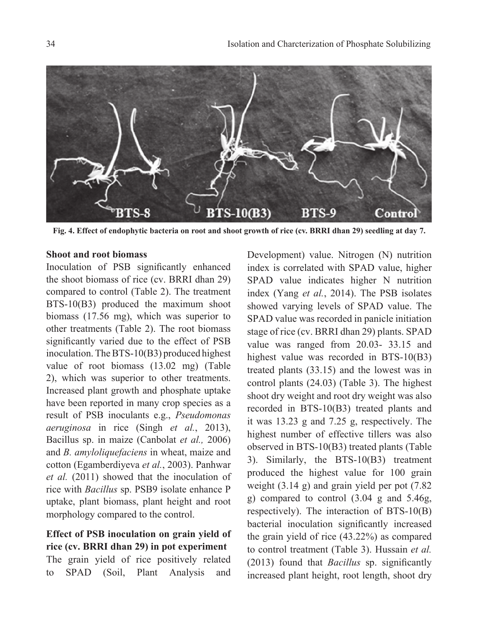

**Fig. 4. Effect of endophytic bacteria on root and shoot growth of rice (cv. BRRI dhan 29) seedling at day 7.**

#### **Shoot and root biomass**

Inoculation of PSB significantly enhanced the shoot biomass of rice (cv. BRRI dhan 29) compared to control (Table 2). The treatment BTS-10(B3) produced the maximum shoot biomass (17.56 mg), which was superior to other treatments (Table 2). The root biomass significantly varied due to the effect of PSB inoculation. The BTS-10(B3) produced highest value of root biomass (13.02 mg) (Table 2), which was superior to other treatments. Increased plant growth and phosphate uptake have been reported in many crop species as a result of PSB inoculants e.g., *Pseudomonas aeruginosa* in rice (Singh *et al.*, 2013), Bacillus sp. in maize (Canbolat *et al.,* 2006) and *B. amyloliquefaciens* in wheat, maize and cotton (Egamberdiyeva *et al.*, 2003). Panhwar *et al.* (2011) showed that the inoculation of rice with *Bacillus* sp. PSB9 isolate enhance P uptake, plant biomass, plant height and root morphology compared to the control.

### **Effect of PSB inoculation on grain yield of rice (cv. BRRI dhan 29) in pot experiment**

The grain yield of rice positively related to SPAD (Soil, Plant Analysis and

Development) value. Nitrogen (N) nutrition index is correlated with SPAD value, higher SPAD value indicates higher N nutrition index (Yang *et al.*, 2014). The PSB isolates showed varying levels of SPAD value. The SPAD value was recorded in panicle initiation stage of rice (cv. BRRI dhan 29) plants. SPAD value was ranged from 20.03- 33.15 and highest value was recorded in BTS-10(B3) treated plants (33.15) and the lowest was in control plants (24.03) (Table 3). The highest shoot dry weight and root dry weight was also recorded in BTS-10(B3) treated plants and it was 13.23 g and 7.25 g, respectively. The highest number of effective tillers was also observed in BTS-10(B3) treated plants (Table 3). Similarly, the BTS-10(B3) treatment produced the highest value for 100 grain weight (3.14 g) and grain yield per pot (7.82 g) compared to control (3.04 g and 5.46g, respectively). The interaction of BTS-10(B) bacterial inoculation significantly increased the grain yield of rice (43.22%) as compared to control treatment (Table 3). Hussain *et al.* (2013) found that *Bacillus* sp. significantly increased plant height, root length, shoot dry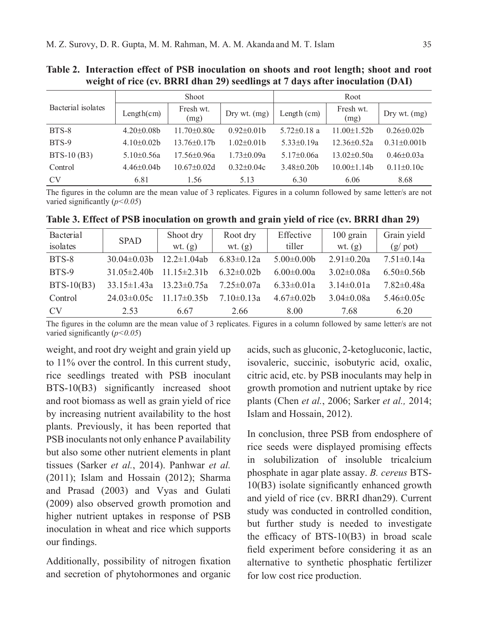| Bacterial isolates | Shoot             |                   |                  | Root              |                    |                    |
|--------------------|-------------------|-------------------|------------------|-------------------|--------------------|--------------------|
|                    | Length(cm)        | Fresh wt.<br>(mg) | Dry wt. (mg)     | Length $(cm)$     | Fresh wt.<br>(mg)  | Dry wt. $(mg)$     |
| BTS-8              | $4.20 \pm 0.08$ b | $11.70\pm0.80c$   | $0.92 \pm 0.01$  | $5.72 \pm 0.18$ a | $11.00 \pm 1.52$ b | $0.26 \pm 0.02$    |
| BTS-9              | $4.10\pm0.02b$    | $13.76\pm0.17h$   | $1.02\pm0.01b$   | $5.33\pm0.19a$    | $12.36 \pm 0.52a$  | $0.31 \pm 0.001$ b |
| $BTS-10(B3)$       | 5.10 $\pm$ 0.56a  | $17.56 \pm 0.96a$ | $1.73 \pm 0.09a$ | $5.17\pm0.06a$    | $13.02 \pm 0.50a$  | $0.46 \pm 0.03a$   |
| Control            | $4.46\pm0.04b$    | $10.67 \pm 0.02d$ | $0.32 \pm 0.04c$ | $3.48\pm0.20b$    | $10.00 \pm 1.14$   | $0.11 \pm 0.10c$   |
| <b>CV</b>          | 6.81              | 1.56              | 5.13             | 6.30              | 6.06               | 8.68               |

**Table 2. Interaction effect of PSB inoculation on shoots and root length; shoot and root weight of rice (cv. BRRI dhan 29) seedlings at 7 days after inoculation (DAI)**

The figures in the column are the mean value of 3 replicates. Figures in a column followed by same letter/s are not varied significantly (*p<0.05*)

**Table 3. Effect of PSB inoculation on growth and grain yield of rice (cv. BRRI dhan 29)**

| Bacterial      | <b>SPAD</b>       | Shoot dry          | Root dry         | Effective        | $100$ grain      | Grain yield      |
|----------------|-------------------|--------------------|------------------|------------------|------------------|------------------|
| isolates       |                   | wt. $(g)$          | wt. $(g)$        | tiller           | wt. $(g)$        | $(g$ pot)        |
| BTS-8          | $30.04\pm0.03$    | $12.2 \pm 1.04$ ab | $6.83 \pm 0.12a$ | $5.00 \pm 0.00$  | $2.91 \pm 0.20a$ | $7.51 \pm 0.14a$ |
| BTS-9          | $31.05\pm2.40h$   | $11.15\pm2.31b$    | $6.32\pm0.02b$   | $6.00 \pm 0.00a$ | $3.02 \pm 0.08a$ | $6.50 \pm 0.56$  |
| $BTS-10(B3)$   | $33.15 \pm 1.43a$ | $13.23 \pm 0.75a$  | $7.25 \pm 0.07a$ | $6.33 \pm 0.01a$ | $3.14 \pm 0.01a$ | $7.82 \pm 0.48a$ |
| Control        | $24.03\pm0.05c$   | $11.17\pm0.35b$    | $7.10 \pm 0.13a$ | $4.67\pm0.02b$   | $3.04 \pm 0.08a$ | $5.46 \pm 0.05c$ |
| CV <sub></sub> | 2.53              | 6.67               | 2.66             | 8.00             | 7.68             | 6.20             |

The figures in the column are the mean value of 3 replicates. Figures in a column followed by same letter/s are not varied significantly (*p<0.05*)

weight, and root dry weight and grain yield up to 11% over the control. In this current study, rice seedlings treated with PSB inoculant BTS-10(B3) significantly increased shoot and root biomass as well as grain yield of rice by increasing nutrient availability to the host plants. Previously, it has been reported that PSB inoculants not only enhance P availability but also some other nutrient elements in plant tissues (Sarker *et al.*, 2014). Panhwar *et al.* (2011); Islam and Hossain (2012); Sharma and Prasad (2003) and Vyas and Gulati (2009) also observed growth promotion and higher nutrient uptakes in response of PSB inoculation in wheat and rice which supports our findings.

Additionally, possibility of nitrogen fixation and secretion of phytohormones and organic

acids, such as gluconic, 2-ketogluconic, lactic, isovaleric, succinic, isobutyric acid, oxalic, citric acid, etc. by PSB inoculants may help in growth promotion and nutrient uptake by rice plants (Chen *et al.*, 2006; Sarker *et al.,* 2014; Islam and Hossain, 2012).

In conclusion, three PSB from endosphere of rice seeds were displayed promising effects in solubilization of insoluble tricalcium phosphate in agar plate assay. *B. cereus* BTS-10(B3) isolate significantly enhanced growth and yield of rice (cv. BRRI dhan29). Current study was conducted in controlled condition, but further study is needed to investigate the efficacy of BTS-10(B3) in broad scale field experiment before considering it as an alternative to synthetic phosphatic fertilizer for low cost rice production.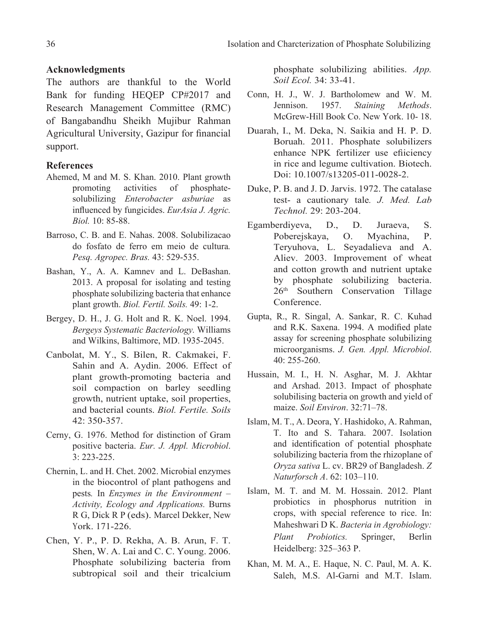#### **Acknowledgments**

The authors are thankful to the World Bank for funding HEQEP CP#2017 and Research Management Committee (RMC) of Bangabandhu Sheikh Mujibur Rahman Agricultural University, Gazipur for financial support.

### **References**

- Ahemed, M and M. S. Khan. 2010. Plant growth promoting activities of phosphatesolubilizing *Enterobacter asburiae* as influenced by fungicides. *EurAsia J. Agric. Biol.* 10: 85-88.
- Barroso, C. B. and E. Nahas. 2008. Solubilizacao do fosfato de ferro em meio de cultura*. Pesq. Agropec. Bras.* 43: 529-535.
- Bashan, Y., A. A. Kamnev and L. DeBashan. 2013. A proposal for isolating and testing phosphate solubilizing bacteria that enhance plant growth. *Biol. Fertil. Soils.* 49: 1-2.
- Bergey, D. H., J. G. Holt and R. K. Noel. 1994. *Bergeys Systematic Bacteriology.* Williams and Wilkins, Baltimore, MD. 1935-2045.
- Canbolat, M. Y., S. Bilen, R. Cakmakei, F. Sahin and A. Aydin. 2006. Effect of plant growth-promoting bacteria and soil compaction on barley seedling growth, nutrient uptake, soil properties, and bacterial counts. *Biol. Fertile. Soils* 42: 350-357.
- Cerny, G. 1976. Method for distinction of Gram positive bacteria. *Eur. J. Appl. Microbiol*. 3: 223-225.
- Chernin, L. and H. Chet. 2002. Microbial enzymes in the biocontrol of plant pathogens and pests*.* In *Enzymes in the Environment – Activity, Ecology and Applications.* Burns R G, Dick R P (eds). Marcel Dekker, New York. 171-226.
- Chen, Y. P., P. D. Rekha, A. B. Arun, F. T. Shen, W. A. Lai and C. C. Young. 2006. Phosphate solubilizing bacteria from subtropical soil and their tricalcium

phosphate solubilizing abilities. *App. Soil Ecol.* 34: 33-41.

- Conn, H. J., W. J. Bartholomew and W. M. Jennison. 1957. *Staining Methods*. McGrew-Hill Book Co. New York. 10- 18.
- Duarah, I., M. Deka, N. Saikia and H. P. D. Boruah. 2011. Phosphate solubilizers enhance NPK fertilizer use efiiciency in rice and legume cultivation. Biotech. Doi: 10.1007/s13205-011-0028-2.
- Duke, P. B. and J. D. Jarvis. 1972. The catalase test- a cautionary tale*. J. Med. Lab Technol.* 29: 203-204.
- Egamberdiyeva, D., D. Juraeva, S. Poberejskaya, O. Myachina, P. Teryuhova, L. Seyadalieva and A. Aliev. 2003. Improvement of wheat and cotton growth and nutrient uptake by phosphate solubilizing bacteria. 26th Southern Conservation Tillage Conference.
- Gupta, R., R. Singal, A. Sankar, R. C. Kuhad and R.K. Saxena. 1994. A modified plate assay for screening phosphate solubilizing microorganisms. *J. Gen. Appl. Microbiol*. 40: 255-260.
- Hussain, M. I., H. N. Asghar, M. J. Akhtar and Arshad. 2013. Impact of phosphate solubilising bacteria on growth and yield of maize. *Soil Environ*. 32:71–78.
- Islam, M. T., A. Deora, Y. Hashidoko, A. Rahman, T. Ito and S. Tahara. 2007. Isolation and identification of potential phosphate solubilizing bacteria from the rhizoplane of *Oryza sativa* L. cv. BR29 of Bangladesh. *Z Naturforsch A*. 62: 103–110.
- Islam, M. T. and M. M. Hossain. 2012. Plant probiotics in phosphorus nutrition in crops, with special reference to rice. In: Maheshwari D K. *Bacteria in Agrobiology: Plant Probiotics.* Springer, Berlin Heidelberg: 325–363 P.
- Khan, M. M. A., E. Haque, N. C. Paul, M. A. K. Saleh, M.S. Al-Garni and M.T. Islam.